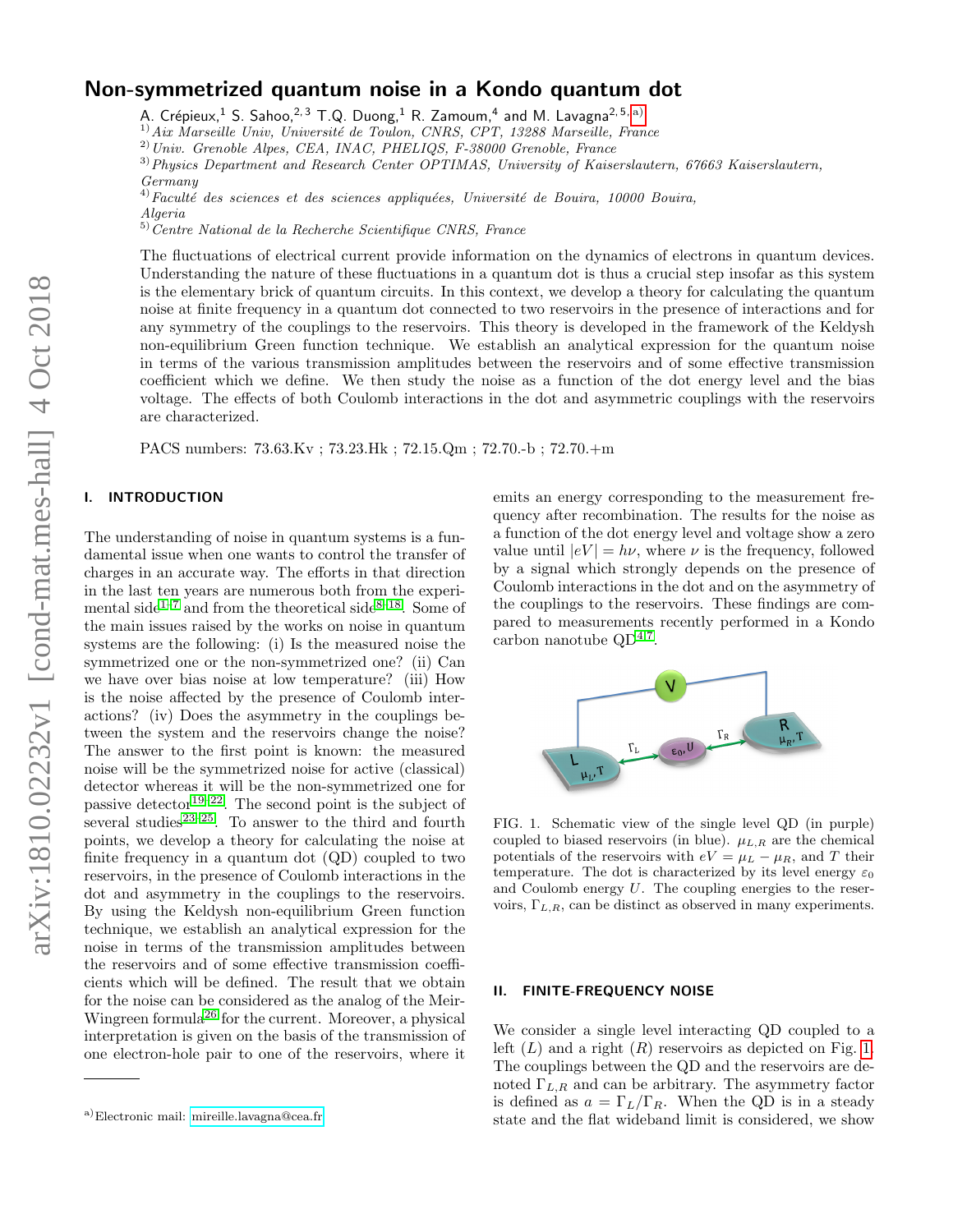# Non-symmetrized quantum noise in a Kondo quantum dot

A. Crépieux, $^1$  S. Sahoo, $^{2,3}$  T.Q. Duong, $^1$  R. Zamoum, $^4$  and M. Lavagna $^{2,5,\,a)}$  $^{2,5,\,a)}$  $^{2,5,\,a)}$ 

 $^{1)}$ Aix Marseille Univ, Université de Toulon, CNRS, CPT, 13288 Marseille, France

<sup>2)</sup>Univ. Grenoble Alpes, CEA, INAC, PHELIQS, F-38000 Grenoble, France

3)Physics Department and Research Center OPTIMAS, University of Kaiserslautern, 67663 Kaiserslautern, Germany

 $^{4)}$ Faculté des sciences et des sciences appliquées, Université de Bouira, 10000 Bouira,

 $5)$ Centre National de la Recherche Scientifique CNRS, France

The fluctuations of electrical current provide information on the dynamics of electrons in quantum devices. Understanding the nature of these fluctuations in a quantum dot is thus a crucial step insofar as this system is the elementary brick of quantum circuits. In this context, we develop a theory for calculating the quantum noise at finite frequency in a quantum dot connected to two reservoirs in the presence of interactions and for any symmetry of the couplings to the reservoirs. This theory is developed in the framework of the Keldysh non-equilibrium Green function technique. We establish an analytical expression for the quantum noise in terms of the various transmission amplitudes between the reservoirs and of some effective transmission coefficient which we define. We then study the noise as a function of the dot energy level and the bias voltage. The effects of both Coulomb interactions in the dot and asymmetric couplings with the reservoirs are characterized.

PACS numbers: 73.63.Kv ; 73.23.Hk ; 72.15.Qm ; 72.70.-b ; 72.70.+m

## I. INTRODUCTION

The understanding of noise in quantum systems is a fundamental issue when one wants to control the transfer of charges in an accurate way. The efforts in that direction in the last ten years are numerous both from the experi-mental side<sup>[1–](#page-3-0)[7](#page-3-1)</sup> and from the theoretical side<sup>[8–](#page-3-2)[18](#page-3-3)</sup>. Some of the main issues raised by the works on noise in quantum systems are the following: (i) Is the measured noise the symmetrized one or the non-symmetrized one? (ii) Can we have over bias noise at low temperature? (iii) How is the noise affected by the presence of Coulomb interactions? (iv) Does the asymmetry in the couplings between the system and the reservoirs change the noise? The answer to the first point is known: the measured noise will be the symmetrized noise for active (classical) detector whereas it will be the non-symmetrized one for passive detector<sup>[19](#page-3-4)[–22](#page-3-5)</sup>. The second point is the subject of several studies<sup>[23](#page-3-6)[–25](#page-3-7)</sup>. To answer to the third and fourth points, we develop a theory for calculating the noise at finite frequency in a quantum dot (QD) coupled to two reservoirs, in the presence of Coulomb interactions in the dot and asymmetry in the couplings to the reservoirs. By using the Keldysh non-equilibrium Green function technique, we establish an analytical expression for the noise in terms of the transmission amplitudes between the reservoirs and of some effective transmission coefficients which will be defined. The result that we obtain for the noise can be considered as the analog of the Meir-Wingreen formula[26](#page-3-8) for the current. Moreover, a physical interpretation is given on the basis of the transmission of one electron-hole pair to one of the reservoirs, where it

emits an energy corresponding to the measurement frequency after recombination. The results for the noise as a function of the dot energy level and voltage show a zero value until  $|eV| = h\nu$ , where  $\nu$  is the frequency, followed by a signal which strongly depends on the presence of Coulomb interactions in the dot and on the asymmetry of the couplings to the reservoirs. These findings are compared to measurements recently performed in a Kondo carbon nanotube  $QD^{4,7}$  $QD^{4,7}$  $QD^{4,7}$  $QD^{4,7}$ .



<span id="page-0-1"></span>FIG. 1. Schematic view of the single level QD (in purple) coupled to biased reservoirs (in blue).  $\mu_{L,R}$  are the chemical potentials of the reservoirs with  $eV = \mu_L - \mu_R$ , and T their temperature. The dot is characterized by its level energy  $\varepsilon_0$ and Coulomb energy U. The coupling energies to the reservoirs,  $\Gamma_{L,R}$ , can be distinct as observed in many experiments.

### II. FINITE-FREQUENCY NOISE

We consider a single level interacting QD coupled to a left  $(L)$  and a right  $(R)$  reservoirs as depicted on Fig. [1.](#page-0-1) The couplings between the QD and the reservoirs are denoted  $\Gamma_{L,R}$  and can be arbitrary. The asymmetry factor is defined as  $a = \Gamma_L/\Gamma_R$ . When the QD is in a steady state and the flat wideband limit is considered, we show

Algeria

<span id="page-0-0"></span>a)Electronic mail: [mireille.lavagna@cea.fr](mailto:mireille.lavagna@cea.fr)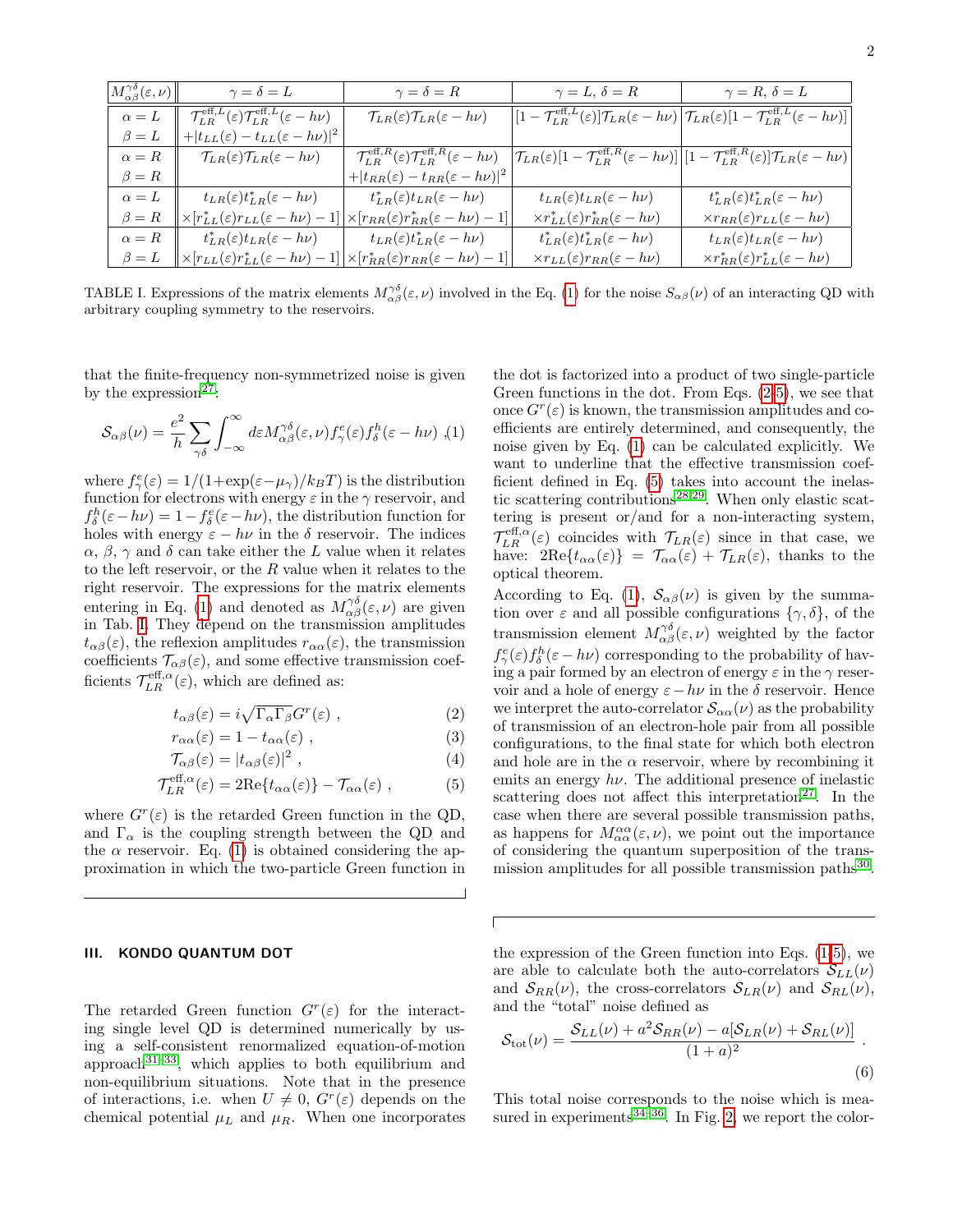| $\left\Vert M_{\alpha\beta}^{\gamma\delta}(\varepsilon,\nu)\right\Vert$ | $\gamma = \delta = L$                                                                           | $\gamma = \delta = R$                                                                           | $\gamma = L, \, \delta = R$                              | $\gamma = R, \delta = L$                                                                                                                                                                                                           |
|-------------------------------------------------------------------------|-------------------------------------------------------------------------------------------------|-------------------------------------------------------------------------------------------------|----------------------------------------------------------|------------------------------------------------------------------------------------------------------------------------------------------------------------------------------------------------------------------------------------|
| $\alpha = L$                                                            | $\mathcal{T}_{LR}^{\text{eff},L}(\varepsilon)\mathcal{T}_{LR}^{\text{eff},L}(\varepsilon-h\nu)$ | $\mathcal{T}_{LR}(\varepsilon)\mathcal{T}_{LR}(\varepsilon-h\nu)$                               |                                                          | $\left  \left[1- \mathcal{T}_{LR}^{\text{eff},L}(\varepsilon) \right] \hspace{-0.5mm}\mathcal{T}_{LR}(\varepsilon-h\nu) \left \mathcal{T}_{LR}(\varepsilon) [1- \mathcal{T}_{LR}^{\text{eff},L}(\varepsilon-h\nu) \right  \right $ |
| $\beta = L$                                                             | $+ t_{LL}(\varepsilon)-t_{LL}(\varepsilon-h\nu) ^2$                                             |                                                                                                 |                                                          |                                                                                                                                                                                                                                    |
| $\alpha = R$                                                            | $\mathcal{T}_{LR}(\varepsilon)\mathcal{T}_{LR}(\varepsilon-h\nu)$                               | $\mathcal{T}_{LR}^{\text{eff},R}(\varepsilon)\mathcal{T}_{LR}^{\text{eff},R}(\varepsilon-h\nu)$ |                                                          | $\mathcal{T}_{LR}(\varepsilon)[1-\mathcal{T}_{LR}^{\text{eff},R}(\varepsilon-h\nu)][1-\mathcal{T}_{LR}^{\text{eff},R}(\varepsilon)]\mathcal{T}_{LR}(\varepsilon-h\nu)]$                                                            |
| $\beta = R$                                                             |                                                                                                 | $+ t_{RR}(\varepsilon)-t_{RR}(\varepsilon-h\nu) ^2$                                             |                                                          |                                                                                                                                                                                                                                    |
| $\alpha = L$                                                            | $t_{LR}(\varepsilon)t_{LR}^*(\varepsilon-h\nu)$                                                 | $t_{LR}^*(\varepsilon)t_{LR}(\varepsilon-h\nu)$                                                 | $t_{LR}(\varepsilon)t_{LR}(\varepsilon-h\nu)$            | $t_{LR}^*(\varepsilon)t_{LR}^*(\varepsilon-h\nu)$                                                                                                                                                                                  |
| $\beta = R$                                                             | $\times[r_{LL}^*(\varepsilon)r_{LL}(\varepsilon-h\nu)-$                                         | $\left[\times[r_{RR}(\varepsilon)r_{RR}^*(\varepsilon-h\nu)-1]\right]$                          | $\times r_{LL}^*(\varepsilon)r_{RR}^*(\varepsilon-h\nu)$ | $\times r_{RR}(\varepsilon)r_{LL}(\varepsilon-h\nu)$                                                                                                                                                                               |
| $\alpha = R$                                                            | $t_{LR}^*(\varepsilon)t_{LR}(\varepsilon-h\nu)$                                                 | $t_{LR}(\varepsilon)t_{LR}^*(\varepsilon-h\nu)$                                                 | $t_{LR}^*(\varepsilon)t_{LR}^*(\varepsilon-h\nu)$        | $t_{LR}(\varepsilon)t_{LR}(\varepsilon-h\nu)$                                                                                                                                                                                      |
| $\beta = L$                                                             | $\times[r_{LL}(\varepsilon)r_{LL}^*(\varepsilon-h\nu)-$                                         | $\times [r_{RR}^*(\varepsilon)r_{RR}(\varepsilon-h\nu)-1]$                                      | $\times r_{LL}(\varepsilon)r_{RR}(\varepsilon-h\nu)$     | $\times r_{RR}^*(\varepsilon)r_{LL}^*(\varepsilon-h\nu)$                                                                                                                                                                           |

<span id="page-1-1"></span>TABLE I. Expressions of the matrix elements  $M^{\gamma\delta}_{\alpha\beta}(\varepsilon,\nu)$  involved in the Eq. [\(1\)](#page-1-0) for the noise  $S_{\alpha\beta}(\nu)$  of an interacting QD with arbitrary coupling symmetry to the reservoirs.

that the finite-frequency non-symmetrized noise is given by the expression<sup>[27](#page-3-10)</sup>:

<span id="page-1-0"></span>
$$
\mathcal{S}_{\alpha\beta}(\nu) = \frac{e^2}{h} \sum_{\gamma\delta} \int_{-\infty}^{\infty} d\varepsilon M_{\alpha\beta}^{\gamma\delta}(\varepsilon,\nu) f_{\gamma}^e(\varepsilon) f_{\delta}^h(\varepsilon - h\nu) , (1)
$$

where  $f^e_\gamma(\varepsilon) = 1/(1 + \exp(\varepsilon - \mu_\gamma)/k_B T)$  is the distribution function for electrons with energy  $\varepsilon$  in the  $\gamma$  reservoir, and  $f_{\delta}^{h}(\varepsilon-h\nu)=1-f_{\delta}^{e}(\varepsilon-h\nu)$ , the distribution function for holes with energy  $\varepsilon - h\nu$  in the  $\delta$  reservoir. The indices  $\alpha$ ,  $\beta$ ,  $\gamma$  and  $\delta$  can take either the L value when it relates to the left reservoir, or the  $R$  value when it relates to the right reservoir. The expressions for the matrix elements entering in Eq. [\(1\)](#page-1-0) and denoted as  $M_{\alpha\beta}^{\gamma\delta}(\varepsilon,\nu)$  are given in Tab. [I.](#page-1-1) They depend on the transmission amplitudes  $t_{\alpha\beta}(\varepsilon)$ , the reflexion amplitudes  $r_{\alpha\alpha}(\varepsilon)$ , the transmission coefficients  $\mathcal{T}_{\alpha\beta}(\varepsilon)$ , and some effective transmission coefficients  $\mathcal{T}_{LR}^{\text{eff},\alpha}(\varepsilon)$ , which are defined as:

<span id="page-1-2"></span>
$$
t_{\alpha\beta}(\varepsilon) = i\sqrt{\Gamma_{\alpha}\Gamma_{\beta}}G^r(\varepsilon) , \qquad (2)
$$

$$
r_{\alpha\alpha}(\varepsilon) = 1 - t_{\alpha\alpha}(\varepsilon) , \qquad (3)
$$

$$
\mathcal{T}_{\alpha\beta}(\varepsilon) = |t_{\alpha\beta}(\varepsilon)|^2 , \qquad (4)
$$

$$
\mathcal{T}_{LR}^{\text{eff},\alpha}(\varepsilon) = 2\text{Re}\{t_{\alpha\alpha}(\varepsilon)\} - \mathcal{T}_{\alpha\alpha}(\varepsilon) ,\qquad (5)
$$

where  $G^r(\varepsilon)$  is the retarded Green function in the QD, and  $\Gamma_{\alpha}$  is the coupling strength between the QD and the  $\alpha$  reservoir. Eq. [\(1\)](#page-1-0) is obtained considering the approximation in which the two-particle Green function in

#### III. KONDO QUANTUM DOT

The retarded Green function  $G<sup>r</sup>(\varepsilon)$  for the interacting single level QD is determined numerically by using a self-consistent renormalized equation-of-motion approach $3^{1-33}$  $3^{1-33}$  $3^{1-33}$ , which applies to both equilibrium and non-equilibrium situations. Note that in the presence of interactions, i.e. when  $U \neq 0$ ,  $G<sup>r</sup>(\varepsilon)$  depends on the chemical potential  $\mu_L$  and  $\mu_R$ . When one incorporates

the dot is factorized into a product of two single-particle Green functions in the dot. From Eqs. [\(2-5\)](#page-1-2), we see that once  $G<sup>r</sup>(\varepsilon)$  is known, the transmission amplitudes and coefficients are entirely determined, and consequently, the noise given by Eq. [\(1\)](#page-1-0) can be calculated explicitly. We want to underline that the effective transmission coefficient defined in Eq. [\(5\)](#page-1-2) takes into account the inelas-tic scattering contributions<sup>[28,](#page-3-11)[29](#page-3-12)</sup>. When only elastic scattering is present or/and for a non-interacting system,  $\mathcal{T}_{LR}^{\text{eff},\alpha}(\varepsilon)$  coincides with  $\mathcal{T}_{LR}(\varepsilon)$  since in that case, we have:  $2\text{Re}\lbrace t_{\alpha\alpha}(\varepsilon)\rbrace = \mathcal{T}_{\alpha\alpha}(\varepsilon) + \mathcal{T}_{LR}(\varepsilon)$ , thanks to the optical theorem.

According to Eq. [\(1\)](#page-1-0),  $S_{\alpha\beta}(\nu)$  is given by the summation over  $\varepsilon$  and all possible configurations  $\{\gamma, \delta\}$ , of the transmission element  $M^{\gamma\delta}_{\alpha\beta}(\varepsilon,\nu)$  weighted by the factor  $f^e_\gamma(\varepsilon) f^h_\delta(\varepsilon - h\nu)$  corresponding to the probability of having a pair formed by an electron of energy  $\varepsilon$  in the  $\gamma$  reservoir and a hole of energy  $\varepsilon - h\nu$  in the  $\delta$  reservoir. Hence we interpret the auto-correlator  $\mathcal{S}_{\alpha\alpha}(\nu)$  as the probability of transmission of an electron-hole pair from all possible configurations, to the final state for which both electron and hole are in the  $\alpha$  reservoir, where by recombining it emits an energy  $h\nu$ . The additional presence of inelastic scattering does not affect this interpretation<sup>[27](#page-3-10)</sup>. In the case when there are several possible transmission paths, as happens for  $M_{\alpha\alpha}^{\alpha\alpha}(\varepsilon,\nu)$ , we point out the importance of considering the quantum superposition of the trans-mission amplitudes for all possible transmission paths<sup>[30](#page-3-13)</sup>.

the expression of the Green function into Eqs.  $(1-5)$  $(1-5)$ , we are able to calculate both the auto-correlators  $\mathcal{S}_{LL}(\nu)$ and  $S_{RR}(\nu)$ , the cross-correlators  $S_{LR}(\nu)$  and  $S_{RL}(\nu)$ , and the "total" noise defined as

$$
S_{\text{tot}}(\nu) = \frac{S_{LL}(\nu) + a^2 S_{RR}(\nu) - a[S_{LR}(\nu) + S_{RL}(\nu)]}{(1+a)^2}.
$$
\n(6)

This total noise corresponds to the noise which is measured in experiments $34-36$  $34-36$ . In Fig. [2,](#page-2-0) we report the color-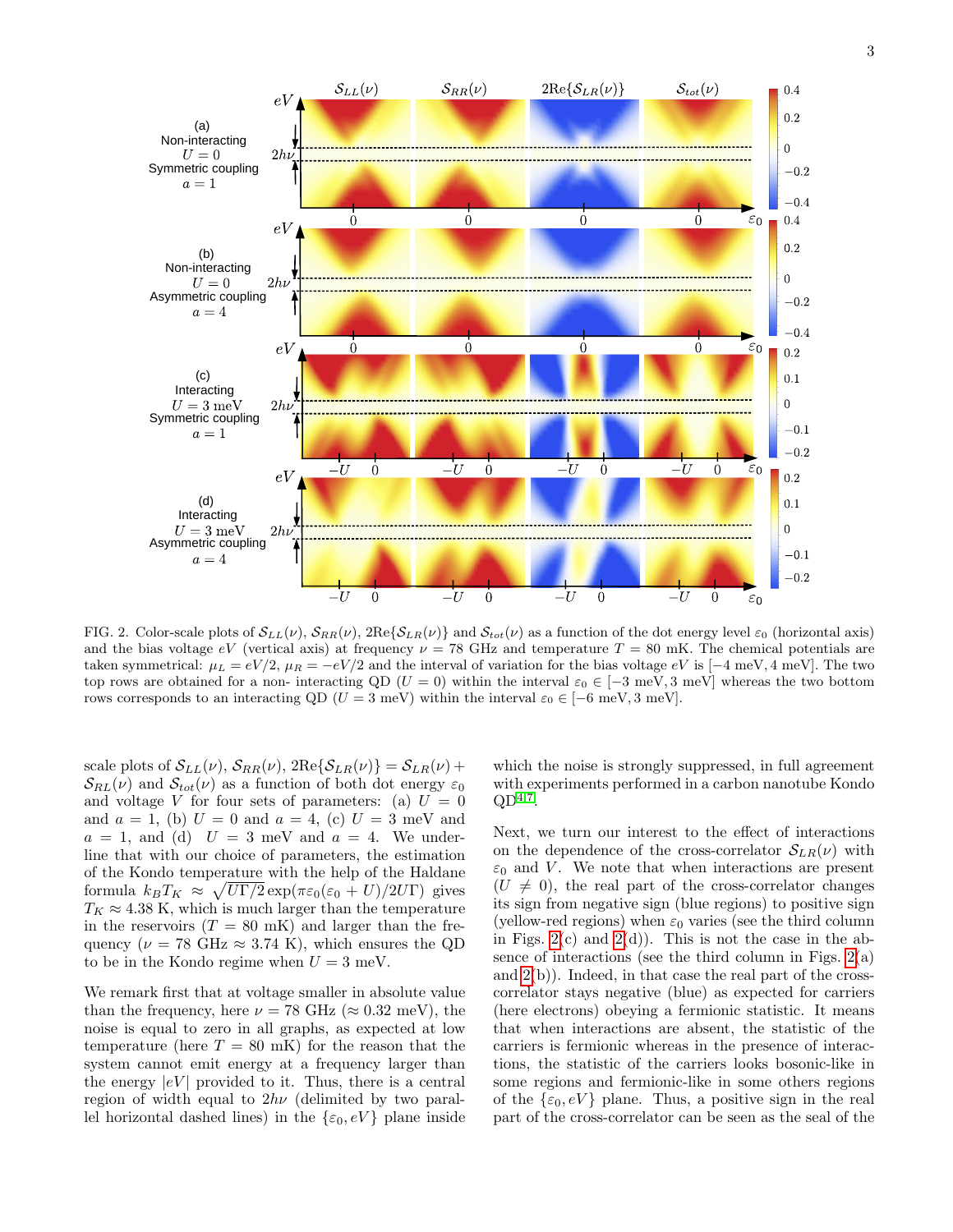

<span id="page-2-0"></span>FIG. 2. Color-scale plots of  $S_{LL}(\nu)$ ,  $S_{RR}(\nu)$ ,  $2\text{Re}\{S_{LR}(\nu)\}\$  and  $S_{tot}(\nu)$  as a function of the dot energy level  $\varepsilon_0$  (horizontal axis) and the bias voltage  $eV$  (vertical axis) at frequency  $\nu = 78$  GHz and temperature  $T = 80$  mK. The chemical potentials are taken symmetrical:  $\mu_L = eV/2$ ,  $\mu_R = -eV/2$  and the interval of variation for the bias voltage  $eV$  is [ $-4$  meV,  $4$  meV]. The two top rows are obtained for a non- interacting QD ( $U = 0$ ) within the interval  $\varepsilon_0 \in [-3 \text{ meV}, 3 \text{ meV}]$  whereas the two bottom rows corresponds to an interacting QD ( $U = 3$  meV) within the interval  $\varepsilon_0 \in [-6 \text{ meV}, 3 \text{ meV}]$ .

scale plots of  $\mathcal{S}_{LL}(\nu)$ ,  $\mathcal{S}_{RR}(\nu)$ ,  $2\text{Re}\{\mathcal{S}_{LR}(\nu)\} = \mathcal{S}_{LR}(\nu) +$  $\mathcal{S}_{RL}(\nu)$  and  $\mathcal{S}_{tot}(\nu)$  as a function of both dot energy  $\varepsilon_0$ and voltage V for four sets of parameters: (a)  $U = 0$ and  $a = 1$ , (b)  $U = 0$  and  $a = 4$ , (c)  $U = 3$  meV and  $a = 1$ , and (d)  $U = 3$  meV and  $a = 4$ . We underline that with our choice of parameters, the estimation of the Kondo temperature with the help of the Haldane formula  $k_B T_K \approx \sqrt{U \Gamma/2} \exp(\pi \varepsilon_0 (\varepsilon_0 + U)/2U \Gamma)$  gives  $T_K \approx 4.38$  K, which is much larger than the temperature in the reservoirs  $(T = 80 \text{ mK})$  and larger than the frequency ( $\nu = 78 \text{ GHz} \approx 3.74 \text{ K}$ ), which ensures the QD to be in the Kondo regime when  $U = 3$  meV.

We remark first that at voltage smaller in absolute value than the frequency, here  $\nu = 78 \text{ GHz } (\approx 0.32 \text{ meV})$ , the noise is equal to zero in all graphs, as expected at low temperature (here  $T = 80$  mK) for the reason that the system cannot emit energy at a frequency larger than the energy  $|eV|$  provided to it. Thus, there is a central region of width equal to  $2h\nu$  (delimited by two parallel horizontal dashed lines) in the  $\{\varepsilon_0, eV\}$  plane inside which the noise is strongly suppressed, in full agreement with experiments performed in a carbon nanotube Kondo  $QD^{4,7}$  $QD^{4,7}$  $QD^{4,7}$  $QD^{4,7}$ .

Next, we turn our interest to the effect of interactions on the dependence of the cross-correlator  $S_{LR}(\nu)$  with  $\varepsilon_0$  and V. We note that when interactions are present  $(U \neq 0)$ , the real part of the cross-correlator changes its sign from negative sign (blue regions) to positive sign (yellow-red regions) when  $\varepsilon_0$  varies (see the third column in Figs.  $2(c)$  and  $2(d)$ ). This is not the case in the absence of interactions (see the third column in Figs.  $2(a)$ ) and [2\(](#page-2-0)b)). Indeed, in that case the real part of the crosscorrelator stays negative (blue) as expected for carriers (here electrons) obeying a fermionic statistic. It means that when interactions are absent, the statistic of the carriers is fermionic whereas in the presence of interactions, the statistic of the carriers looks bosonic-like in some regions and fermionic-like in some others regions of the  $\{\varepsilon_0, eV\}$  plane. Thus, a positive sign in the real part of the cross-correlator can be seen as the seal of the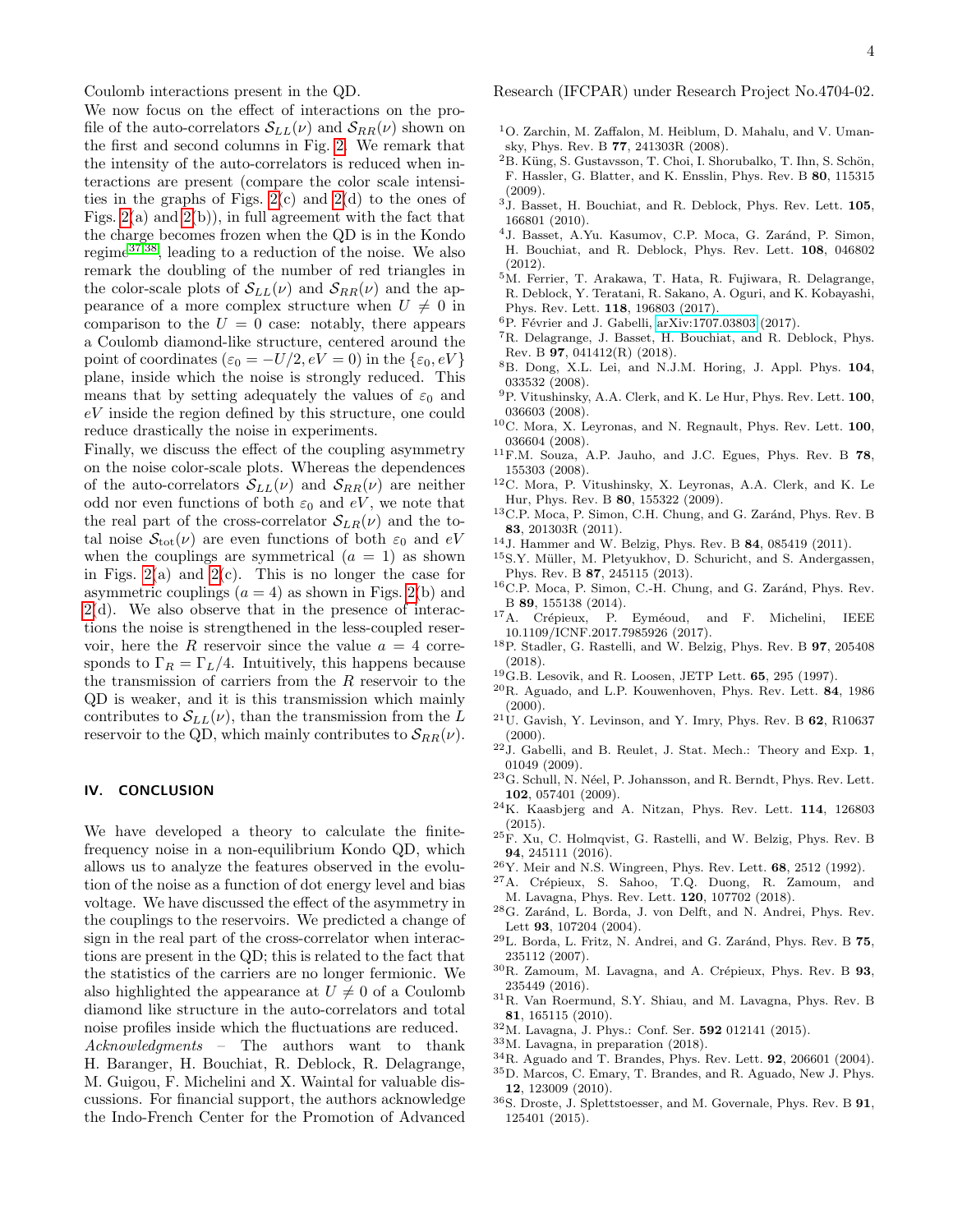Coulomb interactions present in the QD.

We now focus on the effect of interactions on the profile of the auto-correlators  $\mathcal{S}_{LL}(\nu)$  and  $\mathcal{S}_{RR}(\nu)$  shown on the first and second columns in Fig. [2.](#page-2-0) We remark that the intensity of the auto-correlators is reduced when interactions are present (compare the color scale intensities in the graphs of Figs.  $2(c)$  and  $2(d)$  to the ones of Figs.  $2(a)$  and  $2(b)$ , in full agreement with the fact that the charge becomes frozen when the QD is in the Kondo regime[37,](#page-4-0)[38](#page-4-1), leading to a reduction of the noise. We also remark the doubling of the number of red triangles in the color-scale plots of  $S_{LL}(\nu)$  and  $S_{RR}(\nu)$  and the appearance of a more complex structure when  $U \neq 0$  in comparison to the  $U = 0$  case: notably, there appears a Coulomb diamond-like structure, centered around the point of coordinates ( $\varepsilon_0 = -U/2, eV = 0$ ) in the  $\{\varepsilon_0, eV\}$ plane, inside which the noise is strongly reduced. This means that by setting adequately the values of  $\varepsilon_0$  and eV inside the region defined by this structure, one could reduce drastically the noise in experiments.

Finally, we discuss the effect of the coupling asymmetry on the noise color-scale plots. Whereas the dependences of the auto-correlators  $\mathcal{S}_{LL}(\nu)$  and  $\mathcal{S}_{RR}(\nu)$  are neither odd nor even functions of both  $\varepsilon_0$  and  $eV$ , we note that the real part of the cross-correlator  $\mathcal{S}_{LR}(\nu)$  and the total noise  $S_{\text{tot}}(\nu)$  are even functions of both  $\varepsilon_0$  and  $eV$ when the couplings are symmetrical  $(a = 1)$  as shown in Figs.  $2(a)$  and  $2(c)$ . This is no longer the case for asymmetric couplings  $(a = 4)$  as shown in Figs. [2\(](#page-2-0)b) and [2\(](#page-2-0)d). We also observe that in the presence of interactions the noise is strengthened in the less-coupled reservoir, here the R reservoir since the value  $a = 4$  corresponds to  $\Gamma_R = \Gamma_L/4$ . Intuitively, this happens because the transmission of carriers from the R reservoir to the QD is weaker, and it is this transmission which mainly contributes to  $\mathcal{S}_{LL}(\nu)$ , than the transmission from the L reservoir to the QD, which mainly contributes to  $\mathcal{S}_{RR}(\nu)$ .

#### IV. CONCLUSION

We have developed a theory to calculate the finitefrequency noise in a non-equilibrium Kondo QD, which allows us to analyze the features observed in the evolution of the noise as a function of dot energy level and bias voltage. We have discussed the effect of the asymmetry in the couplings to the reservoirs. We predicted a change of sign in the real part of the cross-correlator when interactions are present in the QD; this is related to the fact that the statistics of the carriers are no longer fermionic. We also highlighted the appearance at  $U \neq 0$  of a Coulomb diamond like structure in the auto-correlators and total noise profiles inside which the fluctuations are reduced. Acknowledgments – The authors want to thank H. Baranger, H. Bouchiat, R. Deblock, R. Delagrange, M. Guigou, F. Michelini and X. Waintal for valuable discussions. For financial support, the authors acknowledge the Indo-French Center for the Promotion of Advanced

Research (IFCPAR) under Research Project No.4704-02.

- <span id="page-3-0"></span><sup>1</sup>O. Zarchin, M. Zaffalon, M. Heiblum, D. Mahalu, and V. Umansky, Phys. Rev. B 77, 241303R (2008).
- ${}^{2}$ B. Küng, S. Gustavsson, T. Choi, I. Shorubalko, T. Ihn, S. Schön, F. Hassler, G. Blatter, and K. Ensslin, Phys. Rev. B 80, 115315 (2009).
- $3$ J. Basset, H. Bouchiat, and R. Deblock, Phys. Rev. Lett.  $105$ , 166801 (2010).
- <span id="page-3-9"></span><sup>4</sup>J. Basset, A.Yu. Kasumov, C.P. Moca, G. Zaránd, P. Simon, H. Bouchiat, and R. Deblock, Phys. Rev. Lett. 108, 046802 (2012).
- <sup>5</sup>M. Ferrier, T. Arakawa, T. Hata, R. Fujiwara, R. Delagrange, R. Deblock, Y. Teratani, R. Sakano, A. Oguri, and K. Kobayashi, Phys. Rev. Lett. 118, 196803 (2017).
- $6P.$  Février and J. Gabelli, [arXiv:1707.03803](http://arxiv.org/abs/1707.03803) (2017).
- <span id="page-3-1"></span><sup>7</sup>R. Delagrange, J. Basset, H. Bouchiat, and R. Deblock, Phys. Rev. B 97, 041412(R) (2018).
- <span id="page-3-2"></span><sup>8</sup>B. Dong, X.L. Lei, and N.J.M. Horing, J. Appl. Phys. 104, 033532 (2008).
- $^9{\rm P.}$ Vitushinsky, A.A. Clerk, and K. Le Hur, Phys. Rev. Lett.  ${\bf 100},$ 036603 (2008).
- ${}^{10}$ C. Mora, X. Leyronas, and N. Regnault, Phys. Rev. Lett.  $100$ , 036604 (2008).
- <sup>11</sup>F.M. Souza, A.P. Jauho, and J.C. Egues, Phys. Rev. B 78, 155303 (2008).
- <sup>12</sup>C. Mora, P. Vitushinsky, X. Leyronas, A.A. Clerk, and K. Le Hur, Phys. Rev. B 80, 155322 (2009).
- $^{13}$  C.P. Moca, P. Simon, C.H. Chung, and G. Zaránd, Phys. Rev. B 83, 201303R (2011).
- <sup>14</sup>J. Hammer and W. Belzig, Phys. Rev. B 84, 085419 (2011).
- <sup>15</sup>S.Y. Müller, M. Pletyukhov, D. Schuricht, and S. Andergassen, Phys. Rev. B 87, 245115 (2013).
- ${}^{16}$ C.P. Moca, P. Simon, C.-H. Chung, and G. Zaránd, Phys. Rev. B 89, 155138 (2014).
- $^{17}\mathrm{A}$ . Crépieux, P. Eyméoud, and F. Michelini, IEEE 10.1109/ICNF.2017.7985926 (2017).
- <span id="page-3-3"></span><sup>18</sup>P. Stadler, G. Rastelli, and W. Belzig, Phys. Rev. B 97, 205408 (2018).
- <span id="page-3-4"></span> $^{19}$ G.B. Lesovik, and R. Loosen, JETP Lett.  $65$ , 295 (1997).
- <sup>20</sup>R. Aguado, and L.P. Kouwenhoven, Phys. Rev. Lett. 84, 1986  $(2000).$
- $21\,\text{U}$ . Gavish, Y. Levinson, and Y. Imry, Phys. Rev. B 62, R10637 (2000).
- <span id="page-3-5"></span> $22$ J. Gabelli, and B. Reulet, J. Stat. Mech.: Theory and Exp. 1, 01049 (2009).
- <span id="page-3-6"></span> $^{23}\mathrm{G}.$  Schull, N. Néel, P. Johansson, and R. Berndt, Phys. Rev. Lett. 102, 057401 (2009).
- <sup>24</sup>K. Kaasbjerg and A. Nitzan, Phys. Rev. Lett. 114, 126803 (2015).
- <span id="page-3-7"></span> $25$ F. Xu, C. Holmqvist, G. Rastelli, and W. Belzig, Phys. Rev. B 94, 245111 (2016).
- <span id="page-3-8"></span> $^{26}{\rm Y.}$  Meir and N.S. Wingreen, Phys. Rev. Lett.  $\bf{68},$   $2512$  (1992).
- <span id="page-3-10"></span><sup>27</sup>A. Crépieux, S. Sahoo, T.Q. Duong, R. Zamoum, and M. Lavagna, Phys. Rev. Lett. 120, 107702 (2018).
- <span id="page-3-11"></span><sup>28</sup>G. Zaránd, L. Borda, J. von Delft, and N. Andrei, Phys. Rev. Lett 93, 107204 (2004).
- <span id="page-3-12"></span> $^{29}{\rm L.}$  Borda, L. Fritz, N. Andrei, and G. Zaránd, Phys. Rev. B  $\bf 75,$ 235112 (2007).
- <span id="page-3-13"></span> $30R$ . Zamoum, M. Lavagna, and A. Crépieux, Phys. Rev. B 93, 235449 (2016).
- <span id="page-3-14"></span><sup>31</sup>R. Van Roermund, S.Y. Shiau, and M. Lavagna, Phys. Rev. B 81, 165115 (2010).
- <sup>32</sup>M. Lavagna, J. Phys.: Conf. Ser. 592 012141 (2015).
- <span id="page-3-15"></span><sup>33</sup>M. Lavagna, in preparation (2018).
- <span id="page-3-16"></span><sup>34</sup>R. Aguado and T. Brandes, Phys. Rev. Lett. 92, 206601 (2004).
- <sup>35</sup>D. Marcos, C. Emary, T. Brandes, and R. Aguado, New J. Phys. 12, 123009 (2010).
- <span id="page-3-17"></span> ${}^{36}\mathrm{S}.$  Droste, J. Splettstoesser, and M. Governale, Phys. Rev. B  $\mathbf{91},$ 125401 (2015).